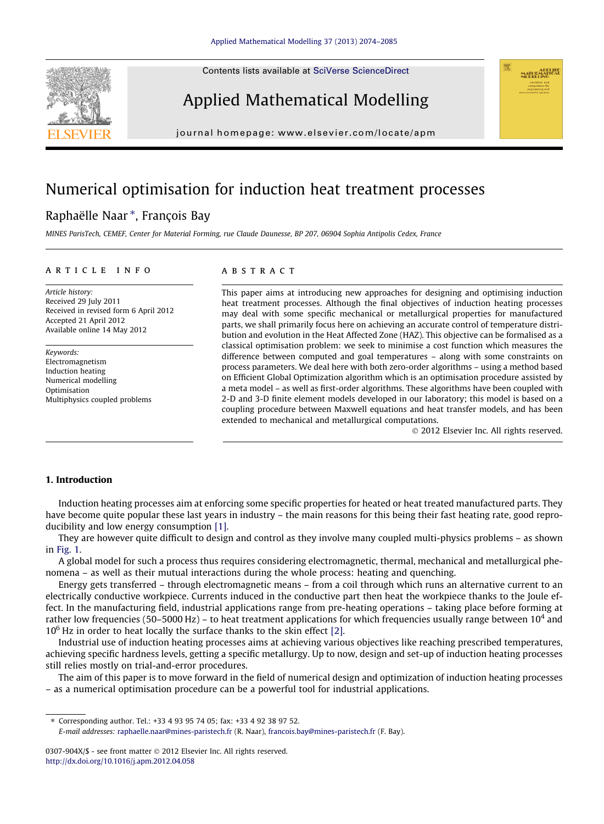Contents lists available at [SciVerse ScienceDirect](http://www.sciencedirect.com/science/journal/0307904X)





journal homepage: [www.elsevier.com/locate/apm](http://www.elsevier.com/locate/apm)

## Numerical optimisation for induction heat treatment processes

### Raphaëlle Naar<sup>\*</sup>, François Bay

MINES ParisTech, CEMEF, Center for Material Forming, rue Claude Daunesse, BP 207, 06904 Sophia Antipolis Cedex, France

#### article info

Article history: Received 29 July 2011 Received in revised form 6 April 2012 Accepted 21 April 2012 Available online 14 May 2012

Keywords: Electromagnetism Induction heating Numerical modelling Optimisation Multiphysics coupled problems

#### **ABSTRACT**

This paper aims at introducing new approaches for designing and optimising induction heat treatment processes. Although the final objectives of induction heating processes may deal with some specific mechanical or metallurgical properties for manufactured parts, we shall primarily focus here on achieving an accurate control of temperature distribution and evolution in the Heat Affected Zone (HAZ). This objective can be formalised as a classical optimisation problem: we seek to minimise a cost function which measures the difference between computed and goal temperatures – along with some constraints on process parameters. We deal here with both zero-order algorithms – using a method based on Efficient Global Optimization algorithm which is an optimisation procedure assisted by a meta model – as well as first-order algorithms. These algorithms have been coupled with 2-D and 3-D finite element models developed in our laboratory; this model is based on a coupling procedure between Maxwell equations and heat transfer models, and has been extended to mechanical and metallurgical computations.

- 2012 Elsevier Inc. All rights reserved.

#### 1. Introduction

Induction heating processes aim at enforcing some specific properties for heated or heat treated manufactured parts. They have become quite popular these last years in industry – the main reasons for this being their fast heating rate, good reproducibility and low energy consumption [\[1\]](#page--1-0).

They are however quite difficult to design and control as they involve many coupled multi-physics problems – as shown in [Fig. 1.](#page-1-0)

A global model for such a process thus requires considering electromagnetic, thermal, mechanical and metallurgical phenomena – as well as their mutual interactions during the whole process: heating and quenching.

Energy gets transferred – through electromagnetic means – from a coil through which runs an alternative current to an electrically conductive workpiece. Currents induced in the conductive part then heat the workpiece thanks to the Joule effect. In the manufacturing field, industrial applications range from pre-heating operations – taking place before forming at rather low frequencies (50–5000 Hz) – to heat treatment applications for which frequencies usually range between  $10^4$  and  $10<sup>6</sup>$  Hz in order to heat locally the surface thanks to the skin effect [\[2\]](#page--1-0).

Industrial use of induction heating processes aims at achieving various objectives like reaching prescribed temperatures, achieving specific hardness levels, getting a specific metallurgy. Up to now, design and set-up of induction heating processes still relies mostly on trial-and-error procedures.

The aim of this paper is to move forward in the field of numerical design and optimization of induction heating processes – as a numerical optimisation procedure can be a powerful tool for industrial applications.

⇑ Corresponding author. Tel.: +33 4 93 95 74 05; fax: +33 4 92 38 97 52. E-mail addresses: [raphaelle.naar@mines-paristech.fr](mailto:raphaelle.naar@mines-paristech.fr) (R. Naar), [francois.bay@mines-paristech.fr](mailto:francois.bay@mines-paristech.fr) (F. Bay).

<sup>0307-904</sup>X/\$ - see front matter © 2012 Elsevier Inc. All rights reserved. <http://dx.doi.org/10.1016/j.apm.2012.04.058>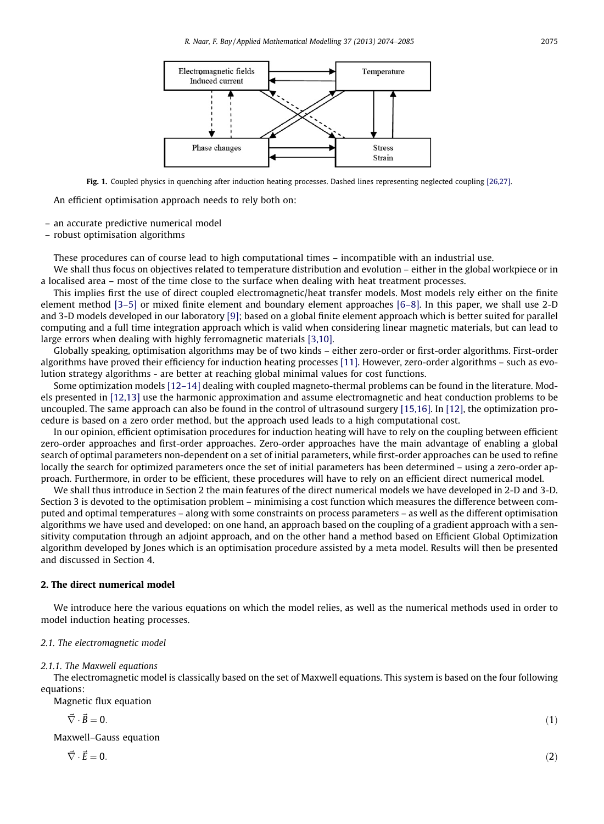<span id="page-1-0"></span>

Fig. 1. Coupled physics in quenching after induction heating processes. Dashed lines representing neglected coupling [26.27].

An efficient optimisation approach needs to rely both on:

- an accurate predictive numerical model
- robust optimisation algorithms

These procedures can of course lead to high computational times – incompatible with an industrial use.

We shall thus focus on objectives related to temperature distribution and evolution – either in the global workpiece or in a localised area – most of the time close to the surface when dealing with heat treatment processes.

This implies first the use of direct coupled electromagnetic/heat transfer models. Most models rely either on the finite element method [\[3–5\]](#page--1-0) or mixed finite element and boundary element approaches [\[6–8\]](#page--1-0). In this paper, we shall use 2-D and 3-D models developed in our laboratory [\[9\]](#page--1-0); based on a global finite element approach which is better suited for parallel computing and a full time integration approach which is valid when considering linear magnetic materials, but can lead to large errors when dealing with highly ferromagnetic materials [\[3,10\].](#page--1-0)

Globally speaking, optimisation algorithms may be of two kinds – either zero-order or first-order algorithms. First-order algorithms have proved their efficiency for induction heating processes [\[11\].](#page--1-0) However, zero-order algorithms – such as evolution strategy algorithms - are better at reaching global minimal values for cost functions.

Some optimization models [\[12–14\]](#page--1-0) dealing with coupled magneto-thermal problems can be found in the literature. Models presented in [\[12,13\]](#page--1-0) use the harmonic approximation and assume electromagnetic and heat conduction problems to be uncoupled. The same approach can also be found in the control of ultrasound surgery [\[15,16\]](#page--1-0). In [\[12\],](#page--1-0) the optimization procedure is based on a zero order method, but the approach used leads to a high computational cost.

In our opinion, efficient optimisation procedures for induction heating will have to rely on the coupling between efficient zero-order approaches and first-order approaches. Zero-order approaches have the main advantage of enabling a global search of optimal parameters non-dependent on a set of initial parameters, while first-order approaches can be used to refine locally the search for optimized parameters once the set of initial parameters has been determined – using a zero-order approach. Furthermore, in order to be efficient, these procedures will have to rely on an efficient direct numerical model.

We shall thus introduce in Section 2 the main features of the direct numerical models we have developed in 2-D and 3-D. Section 3 is devoted to the optimisation problem – minimising a cost function which measures the difference between computed and optimal temperatures – along with some constraints on process parameters – as well as the different optimisation algorithms we have used and developed: on one hand, an approach based on the coupling of a gradient approach with a sensitivity computation through an adjoint approach, and on the other hand a method based on Efficient Global Optimization algorithm developed by Jones which is an optimisation procedure assisted by a meta model. Results will then be presented and discussed in Section 4.

#### 2. The direct numerical model

We introduce here the various equations on which the model relies, as well as the numerical methods used in order to model induction heating processes.

#### 2.1. The electromagnetic model

#### 2.1.1. The Maxwell equations

The electromagnetic model is classically based on the set of Maxwell equations. This system is based on the four following equations:

Magnetic flux equation

$$
\vec{\nabla} \cdot \vec{B} = 0. \tag{1}
$$

Maxwell–Gauss equation

$$
\vec{\nabla} \cdot \vec{E} = 0. \tag{2}
$$